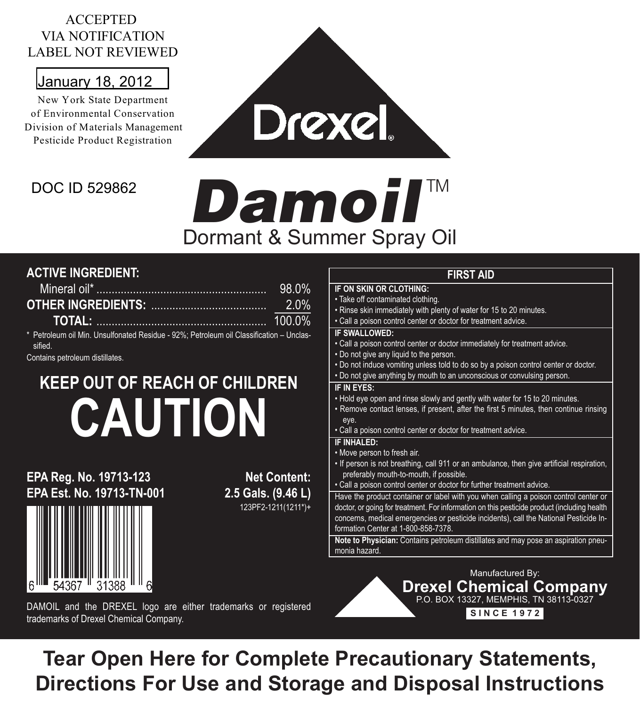#### ACCEPTED VIA NOTIFICATION LABEL NOT REVIEWED

### January 18, 2012

New York State Department of Environmental Conservation Division of Materials Management Pesticide Product Registration

### DOC ID 529862

# Damoil™ Dormant & Summer Spray Oil

Drexel

#### **ACTIVE INGREDIENT:**

|                                                                                                    | 98.0% |
|----------------------------------------------------------------------------------------------------|-------|
|                                                                                                    |       |
|                                                                                                    |       |
| * Petroleum oil Min. Unsulfonated Residue - 92%; Petroleum oil Classification - Unclas-<br>sified. |       |

Contains petroleum distillates.

## **KEEP OUT OF REACH OF CHILDREN CAUTION**

#### **EPA Reg. No. 19713-123 Net Content:**<br> **CPA Est. No. 19713-TN-001** 2.5 Gals. (9.46 L) **EPA Fst. No. 19713-TN-001**



#### **FIRST AID**

**FIRST AID** • Take off contaminated clothing. • Rinse skin immediately with plenty of water for 15 to 20 minutes. • Call a poison control center or doctor for treatment advice. **IF SWALLOWED:**<br>
• Call a poison control center or doctor immediately for treatment advice. • Do not give any liquid to the person. • Do not induce vomiting unless told to do so by a poison control center or doctor. • Do not give anything by mouth to an unconscious or convulsing person. IF IN FYES: • Hold eye open and rinse slowly and gently with water for 15 to 20 minutes. • Remove contact lenses, if present, after the first 5 minutes, then continue rinsing eye. • Call a poison control center or doctor for treatment advice.<br>IF INHAI FD:  $\cdot$  Move person to fresh air. • If person is not breathing, call 911 or an ambulance, then give artificial respiration, preferably mouth-to-mouth, if possible. • Call a poison control center or doctor for further treatment advice. Have the product container or label with you when calling a poison control center or doctor, or going for treatment. For information on this pesticide product (including health concerns, medical emergencies or pesticide incidents), call the National Pesticide Information Center at 1-800-858-7378. **Note to Physician:** Contains petroleum distillates and may pose an aspiration pneumonia hazard.

DAMOIL and the DREXEL logo are either trademarks or registered trademarks of Drexel Chemical Company.

Manufactured By: **Drexel Chemical Company** P.O. BOX 13327, MEMPHIS, TN 38113-0327 **S I N C E 1 9 7 2**

**Tear Open Here for Complete Precautionary Statements, Directions For Use and Storage and Disposal Instructions**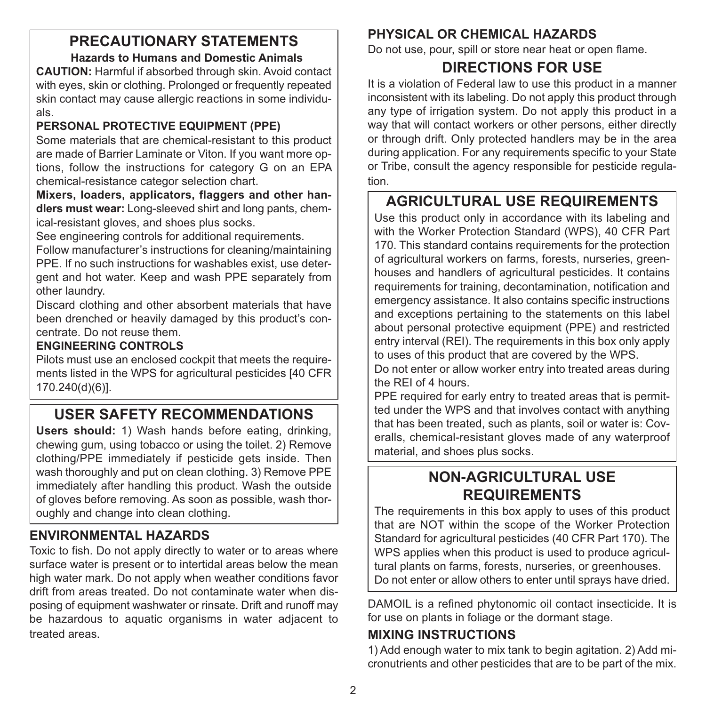#### **PRECAUTIONARY STATEMENTS Hazards to Humans and Domestic Animals**

**CAUTION:** Harmful if absorbed through skin. Avoid contact with eyes, skin or clothing. Prolonged or frequently repeated skin contact may cause allergic reactions in some individuals.

#### **PERSONAL PROTECTIVE EQUIPMENT (PPE)**

Some materials that are chemical-resistant to this product are made of Barrier Laminate or Viton. If you want more options, follow the instructions for category G on an EPA chemical-resistance categor selection chart.

**Mixers, loaders, applicators, flaggers and other handlers must wear:** Long-sleeved shirt and long pants, chemical-resistant gloves, and shoes plus socks.

See engineering controls for additional requirements.

Follow manufacturer's instructions for cleaning/maintaining PPE. If no such instructions for washables exist, use detergent and hot water. Keep and wash PPE separately from other laundry.

Discard clothing and other absorbent materials that have been drenched or heavily damaged by this product's concentrate. Do not reuse them.

#### **ENGINEERING CONTROLS**

Pilots must use an enclosed cockpit that meets the requirements listed in the WPS for agricultural pesticides [40 CFR 170.240(d)(6)].

### **USER SAFETY RECOMMENDATIONS**

**Users should:** 1) Wash hands before eating, drinking, chewing gum, using tobacco or using the toilet. 2) Remove clothing/PPE immediately if pesticide gets inside. Then wash thoroughly and put on clean clothing. 3) Remove PPE immediately after handling this product. Wash the outside of gloves before removing. As soon as possible, wash thoroughly and change into clean clothing.

#### **ENVIRONMENTAL HAZARDS**

Toxic to fish. Do not apply directly to water or to areas where surface water is present or to intertidal areas below the mean high water mark. Do not apply when weather conditions favor drift from areas treated. Do not contaminate water when disposing of equipment washwater or rinsate. Drift and runoff may be hazardous to aquatic organisms in water adjacent to treated areas.

#### **PHYSICAL OR CHEMICAL HAZARDS**

Do not use, pour, spill or store near heat or open flame.

#### **DIRECTIONS FOR USE**

It is a violation of Federal law to use this product in a manner inconsistent with its labeling. Do not apply this product through any type of irrigation system. Do not apply this product in a way that will contact workers or other persons, either directly or through drift. Only protected handlers may be in the area during application. For any requirements specific to your State or Tribe, consult the agency responsible for pesticide regulation.

#### **AGRICULTURAL USE REQUIREMENTS**

Use this product only in accordance with its labeling and with the Worker Protection Standard (WPS), 40 CFR Part 170. This standard contains requirements for the protection of agricultural workers on farms, forests, nurseries, greenhouses and handlers of agricultural pesticides. It contains requirements for training, decontamination, notification and emergency assistance. It also contains specific instructions and exceptions pertaining to the statements on this label about personal protective equipment (PPE) and restricted entry interval (REI). The requirements in this box only apply to uses of this product that are covered by the WPS.

Do not enter or allow worker entry into treated areas during the REI of 4 hours.

PPE required for early entry to treated areas that is permitted under the WPS and that involves contact with anything that has been treated, such as plants, soil or water is: Coveralls, chemical-resistant gloves made of any waterproof material, and shoes plus socks.

#### **NON-AGRICULTURAL USE REQUIREMENTS**

The requirements in this box apply to uses of this product that are NOT within the scope of the Worker Protection Standard for agricultural pesticides (40 CFR Part 170). The WPS applies when this product is used to produce agricultural plants on farms, forests, nurseries, or greenhouses. Do not enter or allow others to enter until sprays have dried.

DAMOIL is a refined phytonomic oil contact insecticide. It is for use on plants in foliage or the dormant stage.

#### **MIXING INSTRUCTIONS**

1) Add enough water to mix tank to begin agitation. 2) Add micronutrients and other pesticides that are to be part of the mix.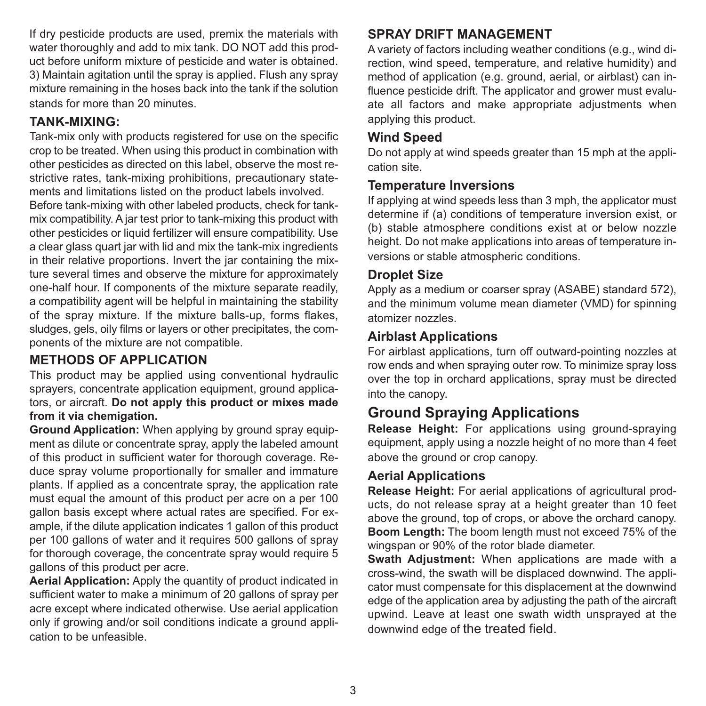If dry pesticide products are used, premix the materials with water thoroughly and add to mix tank. DO NOT add this product before uniform mixture of pesticide and water is obtained. 3) Maintain agitation until the spray is applied. Flush any spray mixture remaining in the hoses back into the tank if the solution stands for more than 20 minutes.

#### **TANK-MIXING:**

Tank-mix only with products registered for use on the specific crop to be treated. When using this product in combination with other pesticides as directed on this label, observe the most restrictive rates, tank-mixing prohibitions, precautionary statements and limitations listed on the product labels involved.

Before tank-mixing with other labeled products, check for tankmix compatibility. A jar test prior to tank-mixing this product with other pesticides or liquid fertilizer will ensure compatibility. Use a clear glass quart jar with lid and mix the tank-mix ingredients in their relative proportions. Invert the jar containing the mixture several times and observe the mixture for approximately one-half hour. If components of the mixture separate readily, a compatibility agent will be helpful in maintaining the stability of the spray mixture. If the mixture balls-up, forms flakes, sludges, gels, oily films or layers or other precipitates, the components of the mixture are not compatible.

#### **METHODS OF APPLICATION**

This product may be applied using conventional hydraulic sprayers, concentrate application equipment, ground applicators, or aircraft. **Do not apply this product or mixes made from it via chemigation.**

**Ground Application:** When applying by ground spray equipment as dilute or concentrate spray, apply the labeled amount of this product in sufficient water for thorough coverage. Reduce spray volume proportionally for smaller and immature plants. If applied as a concentrate spray, the application rate must equal the amount of this product per acre on a per 100 gallon basis except where actual rates are specified. For example, if the dilute application indicates 1 gallon of this product per 100 gallons of water and it requires 500 gallons of spray for thorough coverage, the concentrate spray would require 5 gallons of this product per acre.

**Aerial Application:** Apply the quantity of product indicated in sufficient water to make a minimum of 20 gallons of spray per acre except where indicated otherwise. Use aerial application only if growing and/or soil conditions indicate a ground application to be unfeasible.

#### **SPRAY DRIFT MANAGEMENT**

A variety of factors including weather conditions (e.g., wind direction, wind speed, temperature, and relative humidity) and method of application (e.g. ground, aerial, or airblast) can influence pesticide drift. The applicator and grower must evaluate all factors and make appropriate adjustments when applying this product.

#### **Wind Speed**

Do not apply at wind speeds greater than 15 mph at the application site.

#### **Temperature Inversions**

If applying at wind speeds less than 3 mph, the applicator must determine if (a) conditions of temperature inversion exist, or (b) stable atmosphere conditions exist at or below nozzle height. Do not make applications into areas of temperature inversions or stable atmospheric conditions.

#### **Droplet Size**

Apply as a medium or coarser spray (ASABE) standard 572), and the minimum volume mean diameter (VMD) for spinning atomizer nozzles.

#### **Airblast Applications**

For airblast applications, turn off outward-pointing nozzles at row ends and when spraying outer row. To minimize spray loss over the top in orchard applications, spray must be directed into the canopy.

#### **Ground Spraying Applications**

**Release Height:** For applications using ground-spraying equipment, apply using a nozzle height of no more than 4 feet above the ground or crop canopy.

#### **Aerial Applications**

**Release Height:** For aerial applications of agricultural products, do not release spray at a height greater than 10 feet above the ground, top of crops, or above the orchard canopy. **Boom Length:** The boom length must not exceed 75% of the wingspan or 90% of the rotor blade diameter.

**Swath Adjustment:** When applications are made with a cross-wind, the swath will be displaced downwind. The applicator must compensate for this displacement at the downwind edge of the application area by adjusting the path of the aircraft upwind. Leave at least one swath width unsprayed at the downwind edge of the treated field.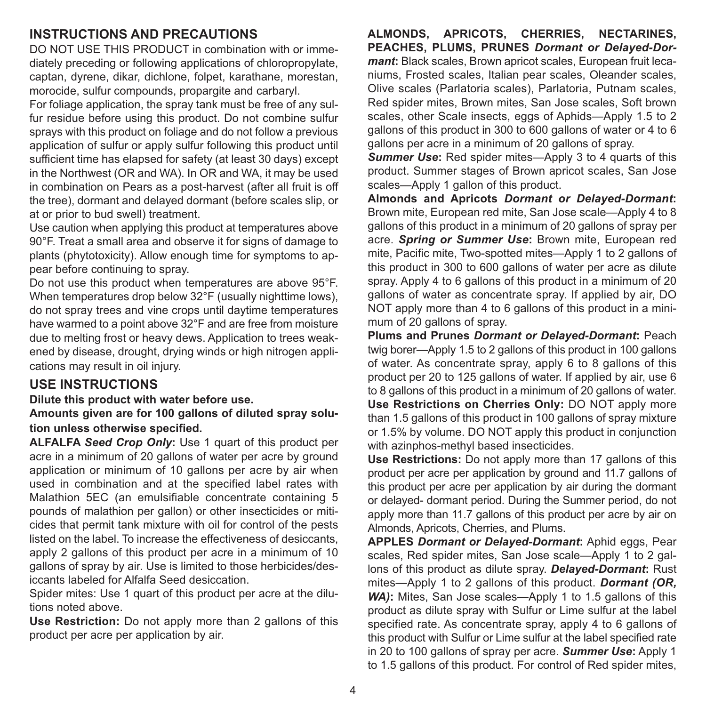#### **INSTRUCTIONS AND PRECAUTIONS**

DO NOT USE THIS PRODUCT in combination with or immediately preceding or following applications of chloropropylate, captan, dyrene, dikar, dichlone, folpet, karathane, morestan, morocide, sulfur compounds, propargite and carbaryl.

For foliage application, the spray tank must be free of any sulfur residue before using this product. Do not combine sulfur sprays with this product on foliage and do not follow a previous application of sulfur or apply sulfur following this product until sufficient time has elapsed for safety (at least 30 days) except in the Northwest (OR and WA). In OR and WA, it may be used in combination on Pears as a post-harvest (after all fruit is off the tree), dormant and delayed dormant (before scales slip, or at or prior to bud swell) treatment.

Use caution when applying this product at temperatures above 90°F. Treat a small area and observe it for signs of damage to plants (phytotoxicity). Allow enough time for symptoms to appear before continuing to spray.

Do not use this product when temperatures are above 95°F. When temperatures drop below 32°F (usually nighttime lows), do not spray trees and vine crops until daytime temperatures have warmed to a point above 32°F and are free from moisture due to melting frost or heavy dews. Application to trees weakened by disease, drought, drying winds or high nitrogen applications may result in oil injury.

#### **USE INSTRUCTIONS**

**Dilute this product with water before use.**

**Amounts given are for 100 gallons of diluted spray solution unless otherwise specified.**

**ALFALFA** *Seed Crop Only***:** Use 1 quart of this product per acre in a minimum of 20 gallons of water per acre by ground application or minimum of 10 gallons per acre by air when used in combination and at the specified label rates with Malathion 5EC (an emulsifiable concentrate containing 5 pounds of malathion per gallon) or other insecticides or miticides that permit tank mixture with oil for control of the pests listed on the label. To increase the effectiveness of desiccants, apply 2 gallons of this product per acre in a minimum of 10 gallons of spray by air. Use is limited to those herbicides/desiccants labeled for Alfalfa Seed desiccation.

Spider mites: Use 1 quart of this product per acre at the dilutions noted above.

**Use Restriction:** Do not apply more than 2 gallons of this product per acre per application by air.

**ALMONDS, APRICOTS, CHERRIES, NECTARINES, PEACHES, PLUMS, PRUNES** *Dormant or Delayed-Dormant***:** Black scales, Brown apricot scales, European fruit lecaniums, Frosted scales, Italian pear scales, Oleander scales, Olive scales (Parlatoria scales), Parlatoria, Putnam scales, Red spider mites, Brown mites, San Jose scales, Soft brown scales, other Scale insects, eggs of Aphids—Apply 1.5 to 2 gallons of this product in 300 to 600 gallons of water or 4 to 6 gallons per acre in a minimum of 20 gallons of spray.

**Summer Use:** Red spider mites—Apply 3 to 4 quarts of this product. Summer stages of Brown apricot scales, San Jose scales—Apply 1 gallon of this product.

**Almonds and Apricots** *Dormant or Delayed-Dormant***:** Brown mite, European red mite, San Jose scale—Apply 4 to 8 gallons of this product in a minimum of 20 gallons of spray per acre. *Spring or Summer Use***:** Brown mite, European red mite, Pacific mite, Two-spotted mites—Apply 1 to 2 gallons of this product in 300 to 600 gallons of water per acre as dilute spray. Apply 4 to 6 gallons of this product in a minimum of 20 gallons of water as concentrate spray. If applied by air, DO NOT apply more than 4 to 6 gallons of this product in a minimum of 20 gallons of spray.

**Plums and Prunes** *Dormant or Delayed-Dormant***:** Peach twig borer—Apply 1.5 to 2 gallons of this product in 100 gallons of water. As concentrate spray, apply 6 to 8 gallons of this product per 20 to 125 gallons of water. If applied by air, use 6 to 8 gallons of this product in a minimum of 20 gallons of water. **Use Restrictions on Cherries Only:** DO NOT apply more than 1.5 gallons of this product in 100 gallons of spray mixture or 1.5% by volume. DO NOT apply this product in conjunction with azinphos-methyl based insecticides.

**Use Restrictions:** Do not apply more than 17 gallons of this product per acre per application by ground and 11.7 gallons of this product per acre per application by air during the dormant or delayed- dormant period. During the Summer period, do not apply more than 11.7 gallons of this product per acre by air on Almonds, Apricots, Cherries, and Plums.

**APPLES** *Dormant or Delayed-Dormant***:** Aphid eggs, Pear scales. Red spider mites, San Jose scale—Apply 1 to 2 gallons of this product as dilute spray. *Delayed-Dormant***:** Rust mites—Apply 1 to 2 gallons of this product. *Dormant (OR, WA)***:** Mites, San Jose scales—Apply 1 to 1.5 gallons of this product as dilute spray with Sulfur or Lime sulfur at the label specified rate. As concentrate spray, apply 4 to 6 gallons of this product with Sulfur or Lime sulfur at the label specified rate in 20 to 100 gallons of spray per acre. *Summer Use***:** Apply 1 to 1.5 gallons of this product. For control of Red spider mites,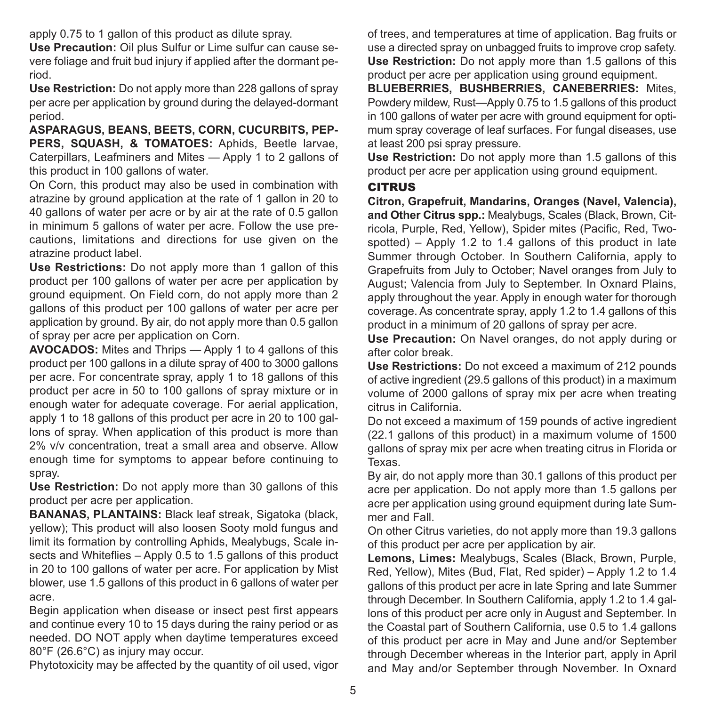apply 0.75 to 1 gallon of this product as dilute spray.

**Use Precaution:** Oil plus Sulfur or Lime sulfur can cause severe foliage and fruit bud injury if applied after the dormant period.

**Use Restriction:** Do not apply more than 228 gallons of spray per acre per application by ground during the delayed-dormant period.

**ASPARAGUS, BEANS, BEETS, CORN, CUCURBITS, PEP-PERS, SQUASH, & TOMATOES:** Aphids, Beetle larvae, Caterpillars, Leafminers and Mites — Apply 1 to 2 gallons of this product in 100 gallons of water.

On Corn, this product may also be used in combination with atrazine by ground application at the rate of 1 gallon in 20 to 40 gallons of water per acre or by air at the rate of 0.5 gallon in minimum 5 gallons of water per acre. Follow the use precautions, limitations and directions for use given on the atrazine product label.

**Use Restrictions:** Do not apply more than 1 gallon of this product per 100 gallons of water per acre per application by ground equipment. On Field corn, do not apply more than 2 gallons of this product per 100 gallons of water per acre per application by ground. By air, do not apply more than 0.5 gallon of spray per acre per application on Corn.

**AVOCADOS:** Mites and Thrips — Apply 1 to 4 gallons of this product per 100 gallons in a dilute spray of 400 to 3000 gallons per acre. For concentrate spray, apply 1 to 18 gallons of this product per acre in 50 to 100 gallons of spray mixture or in enough water for adequate coverage. For aerial application, apply 1 to 18 gallons of this product per acre in 20 to 100 gallons of spray. When application of this product is more than 2% v/v concentration, treat a small area and observe. Allow enough time for symptoms to appear before continuing to spray.

**Use Restriction:** Do not apply more than 30 gallons of this product per acre per application.

**BANANAS, PLANTAINS:** Black leaf streak, Sigatoka (black, yellow); This product will also loosen Sooty mold fungus and limit its formation by controlling Aphids, Mealybugs, Scale insects and Whiteflies – Apply 0.5 to 1.5 gallons of this product in 20 to 100 gallons of water per acre. For application by Mist blower, use 1.5 gallons of this product in 6 gallons of water per acre.

Begin application when disease or insect pest first appears and continue every 10 to 15 days during the rainy period or as needed. DO NOT apply when daytime temperatures exceed 80°F (26.6°C) as injury may occur.

Phytotoxicity may be affected by the quantity of oil used, yigor

of trees, and temperatures at time of application. Bag fruits or use a directed spray on unbagged fruits to improve crop safety. **Use Restriction:** Do not apply more than 1.5 gallons of this product per acre per application using ground equipment.

**BLUEBERRIES, BUSHBERRIES, CANEBERRIES:** Mites, Powdery mildew, Rust—Apply 0.75 to 1.5 gallons of this product in 100 gallons of water per acre with ground equipment for optimum spray coverage of leaf surfaces. For fungal diseases, use at least 200 psi spray pressure.

**Use Restriction:** Do not apply more than 1.5 gallons of this product per acre per application using ground equipment.

#### **CITRUS**

**Citron, Grapefruit, Mandarins, Oranges (Navel, Valencia), and Other Citrus spp.:** Mealybugs, Scales (Black, Brown, Citricola, Purple, Red, Yellow), Spider mites (Pacific, Red, Twospotted) – Apply 1.2 to 1.4 gallons of this product in late Summer through October. In Southern California, apply to Grapefruits from July to October; Navel oranges from July to August; Valencia from July to September. In Oxnard Plains, apply throughout the year. Apply in enough water for thorough coverage. As concentrate spray, apply 1.2 to 1.4 gallons of this product in a minimum of 20 gallons of spray per acre.

**Use Precaution:** On Navel oranges, do not apply during or after color break.

**Use Restrictions:** Do not exceed a maximum of 212 pounds of active ingredient (29.5 gallons of this product) in a maximum volume of 2000 gallons of spray mix per acre when treating citrus in California.

Do not exceed a maximum of 159 pounds of active ingredient (22.1 gallons of this product) in a maximum volume of 1500 gallons of spray mix per acre when treating citrus in Florida or Texas.

By air, do not apply more than 30.1 gallons of this product per acre per application. Do not apply more than 1.5 gallons per acre per application using ground equipment during late Summer and Fall.

On other Citrus varieties, do not apply more than 19.3 gallons of this product per acre per application by air.

**Lemons, Limes:** Mealybugs, Scales (Black, Brown, Purple, Red, Yellow), Mites (Bud, Flat, Red spider) – Apply 1.2 to 1.4 gallons of this product per acre in late Spring and late Summer through December. In Southern California, apply 1.2 to 1.4 gallons of this product per acre only in August and September. In the Coastal part of Southern California, use 0.5 to 1.4 gallons of this product per acre in May and June and/or September through December whereas in the Interior part, apply in April and May and/or September through November. In Oxnard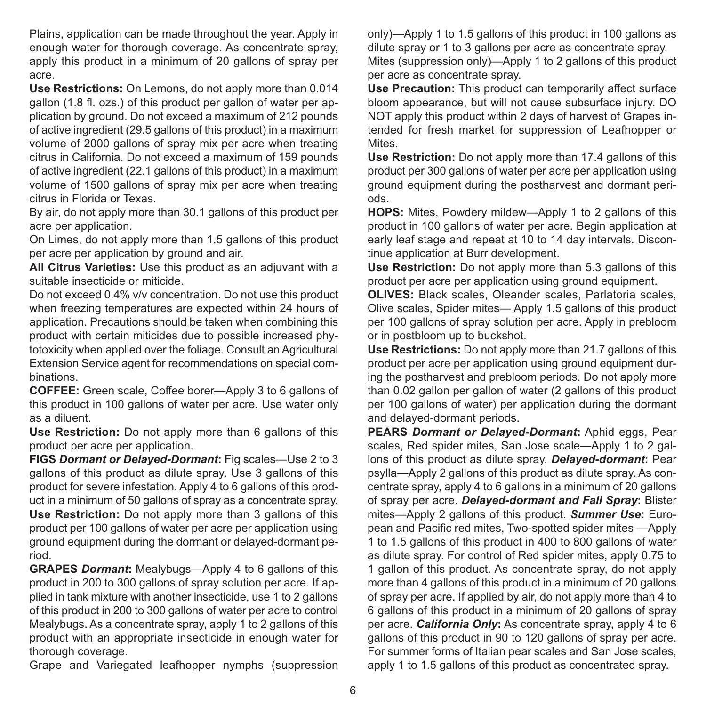Plains, application can be made throughout the year. Apply in enough water for thorough coverage. As concentrate spray, apply this product in a minimum of 20 gallons of spray per acre.

**Use Restrictions:** On Lemons, do not apply more than 0.014 gallon (1.8 fl. ozs.) of this product per gallon of water per application by ground. Do not exceed a maximum of 212 pounds of active ingredient (29.5 gallons of this product) in a maximum volume of 2000 gallons of spray mix per acre when treating citrus in California. Do not exceed a maximum of 159 pounds of active ingredient (22.1 gallons of this product) in a maximum volume of 1500 gallons of spray mix per acre when treating citrus in Florida or Texas.

By air, do not apply more than 30.1 gallons of this product per acre per application.

On Limes, do not apply more than 1.5 gallons of this product per acre per application by ground and air.

**All Citrus Varieties:** Use this product as an adjuvant with a suitable insecticide or miticide.

Do not exceed 0.4% v/v concentration. Do not use this product when freezing temperatures are expected within 24 hours of application. Precautions should be taken when combining this product with certain miticides due to possible increased phytotoxicity when applied over the foliage. Consult an Agricultural Extension Service agent for recommendations on special combinations.

**COFFEE:** Green scale, Coffee borer—Apply 3 to 6 gallons of this product in 100 gallons of water per acre. Use water only as a diluent.

**Use Restriction:** Do not apply more than 6 gallons of this product per acre per application.

**FIGS** *Dormant or Delayed-Dormant***:** Fig scales—Use 2 to 3 gallons of this product as dilute spray. Use 3 gallons of this product for severe infestation. Apply 4 to 6 gallons of this product in a minimum of 50 gallons of spray as a concentrate spray. **Use Restriction:** Do not apply more than 3 gallons of this product per 100 gallons of water per acre per application using ground equipment during the dormant or delayed-dormant period.

**GRAPES** *Dormant***:** Mealybugs—Apply 4 to 6 gallons of this product in 200 to 300 gallons of spray solution per acre. If applied in tank mixture with another insecticide, use 1 to 2 gallons of this product in 200 to 300 gallons of water per acre to control Mealybugs. As a concentrate spray, apply 1 to 2 gallons of this product with an appropriate insecticide in enough water for thorough coverage.

Grape and Variegated leafhopper nymphs (suppression

only)—Apply 1 to 1.5 gallons of this product in 100 gallons as dilute spray or 1 to 3 gallons per acre as concentrate spray. Mites (suppression only)—Apply 1 to 2 gallons of this product per acre as concentrate spray.

**Use Precaution:** This product can temporarily affect surface bloom appearance, but will not cause subsurface injury. DO NOT apply this product within 2 days of harvest of Grapes intended for fresh market for suppression of Leafhopper or Mites.

**Use Restriction:** Do not apply more than 17.4 gallons of this product per 300 gallons of water per acre per application using ground equipment during the postharvest and dormant periods.

**HOPS:** Mites, Powdery mildew—Apply 1 to 2 gallons of this product in 100 gallons of water per acre. Begin application at early leaf stage and repeat at 10 to 14 day intervals. Discontinue application at Burr development.

**Use Restriction:** Do not apply more than 5.3 gallons of this product per acre per application using ground equipment.

**OLIVES:** Black scales, Oleander scales, Parlatoria scales, Olive scales, Spider mites— Apply 1.5 gallons of this product per 100 gallons of spray solution per acre. Apply in prebloom or in postbloom up to buckshot.

**Use Restrictions:** Do not apply more than 21.7 gallons of this product per acre per application using ground equipment during the postharvest and prebloom periods. Do not apply more than 0.02 gallon per gallon of water (2 gallons of this product per 100 gallons of water) per application during the dormant and delayed-dormant periods.

**PEARS** *Dormant or Delayed-Dormant***:** Aphid eggs, Pear scales. Red spider mites, San Jose scale—Apply 1 to 2 gallons of this product as dilute spray. *Delayed-dormant***:** Pear psylla—Apply 2 gallons of this product as dilute spray. As concentrate spray, apply 4 to 6 gallons in a minimum of 20 gallons of spray per acre. *Delayed-dormant and Fall Spray***:** Blister mites—Apply 2 gallons of this product. *Summer Use***:** European and Pacific red mites, Two-spotted spider mites —Apply 1 to 1.5 gallons of this product in 400 to 800 gallons of water as dilute spray. For control of Red spider mites, apply 0.75 to 1 gallon of this product. As concentrate spray, do not apply more than 4 gallons of this product in a minimum of 20 gallons of spray per acre. If applied by air, do not apply more than 4 to 6 gallons of this product in a minimum of 20 gallons of spray per acre. *California Only***:** As concentrate spray, apply 4 to 6 gallons of this product in 90 to 120 gallons of spray per acre. For summer forms of Italian pear scales and San Jose scales, apply 1 to 1.5 gallons of this product as concentrated spray.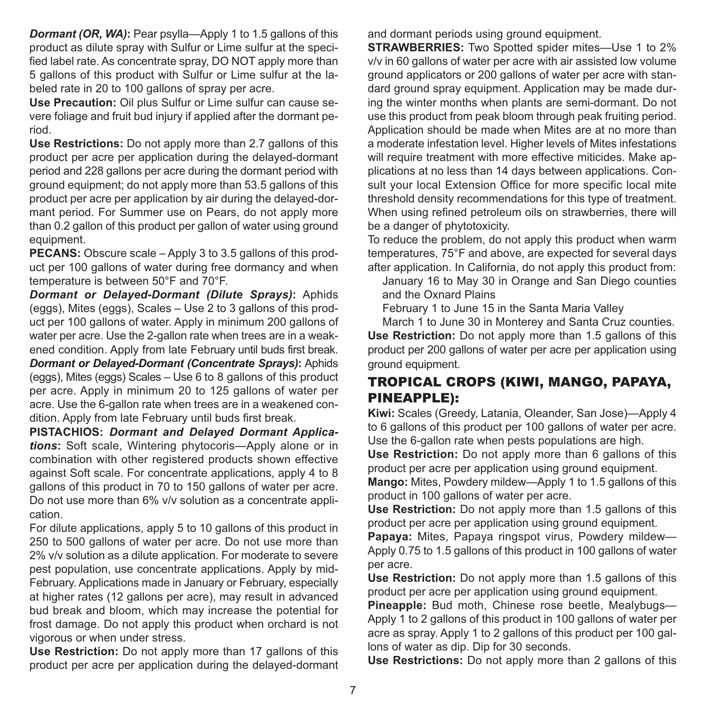*Dormant (OR, WA)*: Pear psylla—Apply 1 to 1.5 gallons of this product as dilute spray with Sulfur or Lime sulfur at the specified label rate. As concentrate spray, DO NOT apply more than 5 gallons of this product with Sulfur or Lime sulfur at the labeled rate in 20 to 100 gallons of spray per acre.

**Use Precaution:** Oil plus Sulfur or Lime sulfur can cause severe foliage and fruit bud injury if applied after the dormant period.

**Use Restrictions:** Do not apply more than 2.7 gallons of this product per acre per application during the delayed-dormant period and 228 gallons per acre during the dormant period with ground equipment; do not apply more than 53.5 gallons of this product per acre per application by air during the delayed-dormant period. For Summer use on Pears, do not apply more than 0.2 gallon of this product per gallon of water using ground equipment.

**PECANS:** Obscure scale – Apply 3 to 3.5 gallons of this product per 100 gallons of water during free dormancy and when temperature is between 50°F and 70°F.

*Dormant or Delayed-Dormant (Dilute Sprays)***:** Aphids (eggs), Mites (eggs), Scales – Use 2 to 3 gallons of this product per 100 gallons of water. Apply in minimum 200 gallons of water per acre. Use the 2-gallon rate when trees are in a weakened condition. Apply from late February until buds first break.

*Dormant or Delayed-Dormant (Concentrate Sprays)***:** Aphids (eggs), Mites (eggs) Scales – Use 6 to 8 gallons of this product per acre. Apply in minimum 20 to 125 gallons of water per acre. Use the 6-gallon rate when trees are in a weakened condition. Apply from late February until buds first break.

**PISTACHIOS:** *Dormant and Delayed Dormant Applications***:** Soft scale, Wintering phytocoris—Apply alone or in combination with other registered products shown effective against Soft scale. For concentrate applications, apply 4 to 8 gallons of this product in 70 to 150 gallons of water per acre. Do not use more than 6% v/v solution as a concentrate application.

For dilute applications, apply 5 to 10 gallons of this product in 250 to 500 gallons of water per acre. Do not use more than 2% v/v solution as a dilute application. For moderate to severe pest population, use concentrate applications. Apply by mid-February. Applications made in January or February, especially at higher rates (12 gallons per acre), may result in advanced bud break and bloom, which may increase the potential for frost damage. Do not apply this product when orchard is not vigorous or when under stress.

**Use Restriction:** Do not apply more than 17 gallons of this product per acre per application during the delayed-dormant and dormant periods using ground equipment.

**STRAWBERRIES:** Two Spotted spider mites—Use 1 to 2% v/v in 60 gallons of water per acre with air assisted low volume ground applicators or 200 gallons of water per acre with standard ground spray equipment. Application may be made during the winter months when plants are semi-dormant. Do not use this product from peak bloom through peak fruiting period. Application should be made when Mites are at no more than a moderate infestation level. Higher levels of Mites infestations will require treatment with more effective miticides. Make applications at no less than 14 days between applications. Consult your local Extension Office for more specific local mite threshold density recommendations for this type of treatment. When using refined petroleum oils on strawberries, there will be a danger of phytotoxicity.

To reduce the problem, do not apply this product when warm temperatures, 75°F and above, are expected for several days after application. In California, do not apply this product from:

 January 16 to May 30 in Orange and San Diego counties and the Oxnard Plains

February 1 to June 15 in the Santa Maria Valley

 March 1 to June 30 in Monterey and Santa Cruz counties. **Use Restriction:** Do not apply more than 1.5 gallons of this product per 200 gallons of water per acre per application using ground equipment.

#### TROPICAL CROPS (KIWI, MANGO, PAPAYA, PINEAPPLE):

**Kiwi:** Scales (Greedy, Latania, Oleander, San Jose)—Apply 4 to 6 gallons of this product per 100 gallons of water per acre. Use the 6-gallon rate when pests populations are high.

**Use Restriction:** Do not apply more than 6 gallons of this product per acre per application using ground equipment.

**Mango:** Mites, Powdery mildew—Apply 1 to 1.5 gallons of this product in 100 gallons of water per acre.

**Use Restriction:** Do not apply more than 1.5 gallons of this product per acre per application using ground equipment.

**Papaya:** Mites, Papaya ringspot virus, Powdery mildew— Apply 0.75 to 1.5 gallons of this product in 100 gallons of water per acre.

**Use Restriction:** Do not apply more than 1.5 gallons of this product per acre per application using ground equipment.

**Pineapple:** Bud moth, Chinese rose beetle, Mealybugs— Apply 1 to 2 gallons of this product in 100 gallons of water per acre as spray. Apply 1 to 2 gallons of this product per 100 gallons of water as dip. Dip for 30 seconds.

**Use Restrictions:** Do not apply more than 2 gallons of this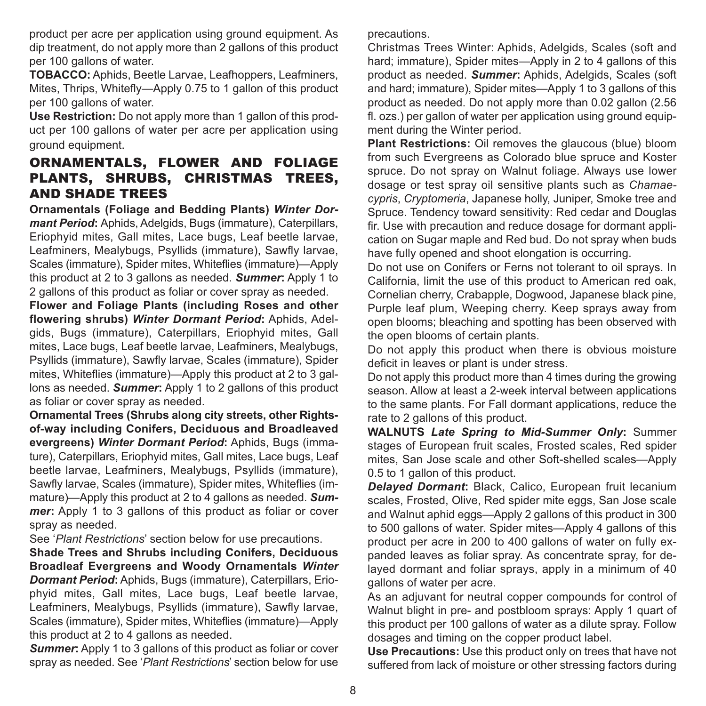product per acre per application using ground equipment. As dip treatment, do not apply more than 2 gallons of this product per 100 gallons of water.

**TOBACCO:** Aphids, Beetle Larvae, Leafhoppers, Leafminers, Mites, Thrips, Whitefly—Apply 0.75 to 1 gallon of this product per 100 gallons of water.

**Use Restriction:** Do not apply more than 1 gallon of this product per 100 gallons of water per acre per application using ground equipment.

#### ORNAMENTALS, FLOWER AND FOLIAGE PLANTS, SHRUBS, CHRISTMAS TREES, AND SHADE TREES

**Ornamentals (Foliage and Bedding Plants)** *Winter Dormant Period*: Aphids, Adelgids, Bugs (immature), Caterpillars, Eriophyid mites, Gall mites, Lace bugs, Leaf beetle larvae, Leafminers, Mealybugs, Psyllids (immature), Sawfly larvae, Scales (immature), Spider mites, Whiteflies (immature)—Apply this product at 2 to 3 gallons as needed. *Summer***:** Apply 1 to 2 gallons of this product as foliar or cover spray as needed.

**Flower and Foliage Plants (including Roses and other flowering shrubs)** *Winter Dormant Period***:** Aphids, Adelgids, Bugs (immature), Caterpillars, Eriophyid mites, Gall mites, Lace bugs, Leaf beetle larvae, Leafminers, Mealybugs, Psyllids (immature), Sawfly larvae, Scales (immature), Spider mites, Whiteflies (immature)—Apply this product at 2 to 3 gallons as needed. *Summer***:** Apply 1 to 2 gallons of this product as foliar or cover spray as needed.

**Ornamental Trees (Shrubs along city streets, other Rightsof-way including Conifers, Deciduous and Broadleaved evergreens)** *Winter Dormant Period***:** Aphids, Bugs (immature), Caterpillars, Eriophyid mites, Gall mites, Lace bugs, Leaf beetle larvae, Leafminers, Mealybugs, Psyllids (immature), Sawfly larvae, Scales (immature), Spider mites, Whiteflies (immature)—Apply this product at 2 to 4 gallons as needed. *Summer***:** Apply 1 to 3 gallons of this product as foliar or cover spray as needed.

See '*Plant Restrictions*' section below for use precautions.

**Shade Trees and Shrubs including Conifers, Deciduous Broadleaf Evergreens and Woody Ornamentals** *Winter Dormant Period***:** Aphids, Bugs (immature), Caterpillars, Eriophyid mites, Gall mites, Lace bugs, Leaf beetle larvae, Leafminers, Mealybugs, Psyllids (immature), Sawfly larvae, Scales (immature), Spider mites, Whiteflies (immature)—Apply this product at 2 to 4 gallons as needed.

*Summer***:** Apply 1 to 3 gallons of this product as foliar or cover spray as needed. See '*Plant Restrictions*' section below for use precautions.

Christmas Trees Winter: Aphids, Adelgids, Scales (soft and hard; immature). Spider mites—Apply in 2 to 4 gallons of this product as needed. *Summer***:** Aphids, Adelgids, Scales (soft and hard; immature), Spider mites—Apply 1 to 3 gallons of this product as needed. Do not apply more than 0.02 gallon (2.56 fl. ozs.) per gallon of water per application using ground equipment during the Winter period.

**Plant Restrictions:** Oil removes the glaucous (blue) bloom from such Evergreens as Colorado blue spruce and Koster spruce. Do not spray on Walnut foliage. Always use lower dosage or test spray oil sensitive plants such as *Chamaecypris*, *Cryptomeria*, Japanese holly, Juniper, Smoke tree and Spruce. Tendency toward sensitivity: Red cedar and Douglas fir. Use with precaution and reduce dosage for dormant application on Sugar maple and Red bud. Do not spray when buds have fully opened and shoot elongation is occurring.

Do not use on Conifers or Ferns not tolerant to oil sprays. In California, limit the use of this product to American red oak, Cornelian cherry, Crabapple, Dogwood, Japanese black pine, Purple leaf plum, Weeping cherry. Keep sprays away from open blooms; bleaching and spotting has been observed with the open blooms of certain plants.

Do not apply this product when there is obvious moisture deficit in leaves or plant is under stress.

Do not apply this product more than 4 times during the growing season. Allow at least a 2-week interval between applications to the same plants. For Fall dormant applications, reduce the rate to 2 gallons of this product.

**WALNUTS** *Late Spring to Mid-Summer Only***:** Summer stages of European fruit scales, Frosted scales, Red spider mites, San Jose scale and other Soft-shelled scales—Apply 0.5 to 1 gallon of this product.

*Delayed Dormant***:** Black, Calico, European fruit lecanium scales, Frosted, Olive, Red spider mite eggs, San Jose scale and Walnut aphid eggs—Apply 2 gallons of this product in 300 to 500 gallons of water. Spider mites—Apply 4 gallons of this product per acre in 200 to 400 gallons of water on fully expanded leaves as foliar spray. As concentrate spray, for delayed dormant and foliar sprays, apply in a minimum of 40 gallons of water per acre.

As an adjuvant for neutral copper compounds for control of Walnut blight in pre- and postbloom sprays: Apply 1 quart of this product per 100 gallons of water as a dilute spray. Follow dosages and timing on the copper product label.

**Use Precautions:** Use this product only on trees that have not suffered from lack of moisture or other stressing factors during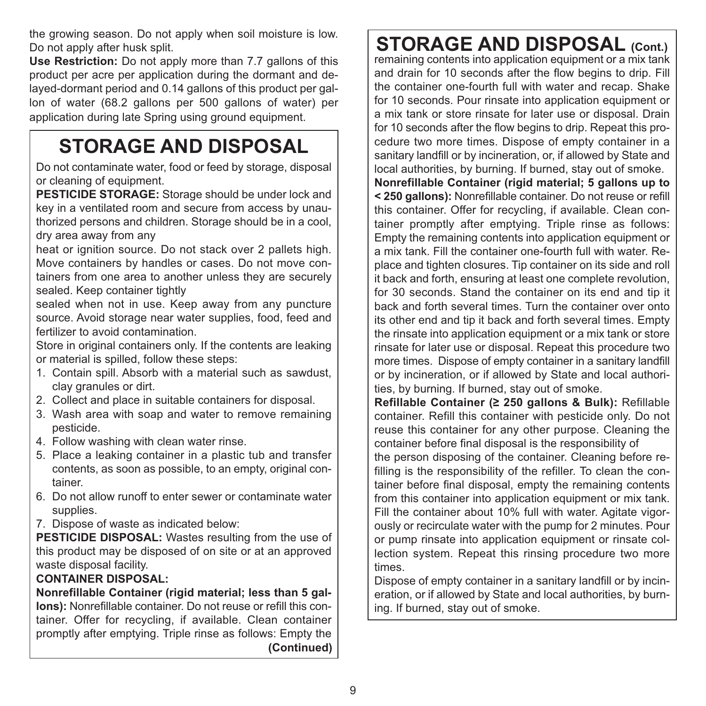the growing season. Do not apply when soil moisture is low. Do not apply after husk split.

**Use Restriction:** Do not apply more than 7.7 gallons of this product per acre per application during the dormant and delayed-dormant period and 0.14 gallons of this product per gallon of water (68.2 gallons per 500 gallons of water) per application during late Spring using ground equipment.

### **STORAGE AND DISPOSAL**

Do not contaminate water, food or feed by storage, disposal or cleaning of equipment.

**PESTICIDE STORAGE:** Storage should be under lock and key in a ventilated room and secure from access by unauthorized persons and children. Storage should be in a cool, dry area away from any

heat or ignition source. Do not stack over 2 pallets high. Move containers by handles or cases. Do not move containers from one area to another unless they are securely sealed. Keep container tightly

sealed when not in use. Keep away from any puncture source. Avoid storage near water supplies, food, feed and fertilizer to avoid contamination.

Store in original containers only. If the contents are leaking or material is spilled, follow these steps:

- 1. Contain spill. Absorb with a material such as sawdust, clay granules or dirt.
- 2. Collect and place in suitable containers for disposal.
- 3. Wash area with soap and water to remove remaining pesticide.
- 4. Follow washing with clean water rinse.
- 5. Place a leaking container in a plastic tub and transfer contents, as soon as possible, to an empty, original container.
- 6. Do not allow runoff to enter sewer or contaminate water supplies.
- 7. Dispose of waste as indicated below:

**PESTICIDE DISPOSAL:** Wastes resulting from the use of this product may be disposed of on site or at an approved waste disposal facility.

#### **CONTAINER DISPOSAL:**

**Nonrefillable Container (rigid material; less than 5 gallons):** Nonrefillable container. Do not reuse or refill this container. Offer for recycling, if available. Clean container promptly after emptying. Triple rinse as follows: Empty the **(Continued)**

### **STORAGE AND DISPOSAL (Cont.)**

remaining contents into application equipment or a mix tank and drain for 10 seconds after the flow begins to drip. Fill the container one-fourth full with water and recap. Shake for 10 seconds. Pour rinsate into application equipment or a mix tank or store rinsate for later use or disposal. Drain for 10 seconds after the flow begins to drip. Repeat this procedure two more times. Dispose of empty container in a sanitary landfill or by incineration, or, if allowed by State and local authorities, by burning. If burned, stay out of smoke. **Nonrefillable Container (rigid material; 5 gallons up to < 250 gallons):** Nonrefillable container. Do not reuse or refill this container. Offer for recycling, if available. Clean container promptly after emptying. Triple rinse as follows: Empty the remaining contents into application equipment or a mix tank. Fill the container one-fourth full with water. Replace and tighten closures. Tip container on its side and roll it back and forth, ensuring at least one complete revolution, for 30 seconds. Stand the container on its end and tip it back and forth several times. Turn the container over onto its other end and tip it back and forth several times. Empty the rinsate into application equipment or a mix tank or store rinsate for later use or disposal. Repeat this procedure two more times. Dispose of empty container in a sanitary landfill or by incineration, or if allowed by State and local authorities, by burning. If burned, stay out of smoke.

**Refillable Container (≥ 250 gallons & Bulk):** Refillable container. Refill this container with pesticide only. Do not reuse this container for any other purpose. Cleaning the container before final disposal is the responsibility of

the person disposing of the container. Cleaning before refilling is the responsibility of the refiller. To clean the container before final disposal, empty the remaining contents from this container into application equipment or mix tank. Fill the container about 10% full with water. Agitate vigorously or recirculate water with the pump for 2 minutes. Pour or pump rinsate into application equipment or rinsate collection system. Repeat this rinsing procedure two more times.

Dispose of empty container in a sanitary landfill or by incineration, or if allowed by State and local authorities, by burning. If burned, stay out of smoke.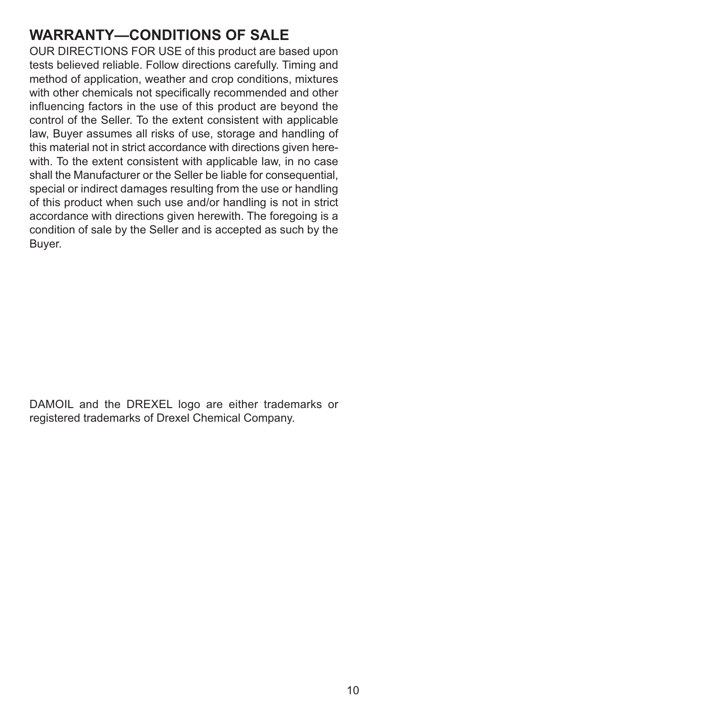#### **WARRANTY—CONDITIONS OF SALE**

OUR DIRECTIONS FOR USE of this product are based upon tests believed reliable. Follow directions carefully. Timing and method of application, weather and crop conditions, mixtures with other chemicals not specifically recommended and other influencing factors in the use of this product are beyond the control of the Seller. To the extent consistent with applicable law, Buyer assumes all risks of use, storage and handling of this material not in strict accordance with directions given herewith. To the extent consistent with applicable law, in no case shall the Manufacturer or the Seller be liable for consequential. special or indirect damages resulting from the use or handling of this product when such use and/or handling is not in strict accordance with directions given herewith. The foregoing is a condition of sale by the Seller and is accepted as such by the Buyer.

DAMOIL and the DREXEL logo are either trademarks or registered trademarks of Drexel Chemical Company.